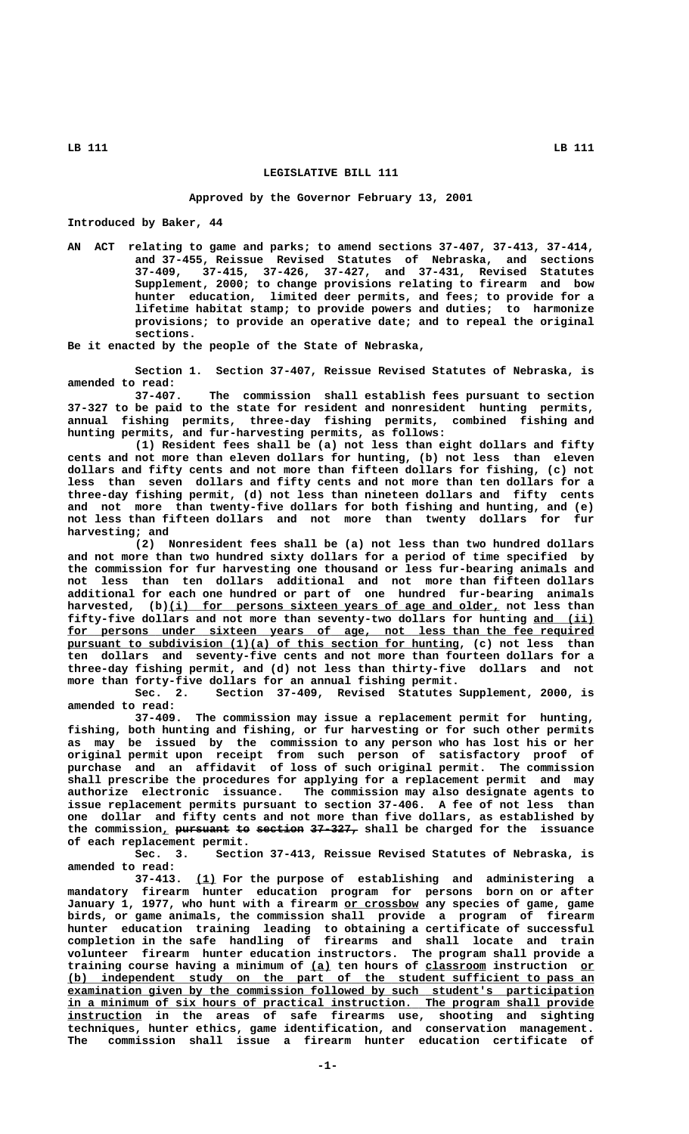## **LEGISLATIVE BILL 111**

## **Approved by the Governor February 13, 2001**

**Introduced by Baker, 44**

**AN ACT relating to game and parks; to amend sections 37-407, 37-413, 37-414, and 37-455, Reissue Revised Statutes of Nebraska, and sections 37-409, 37-415, 37-426, 37-427, and 37-431, Revised Statutes Supplement, 2000; to change provisions relating to firearm and bow hunter education, limited deer permits, and fees; to provide for a lifetime habitat stamp; to provide powers and duties; to harmonize provisions; to provide an operative date; and to repeal the original sections.**

**Be it enacted by the people of the State of Nebraska,**

**Section 1. Section 37-407, Reissue Revised Statutes of Nebraska, is amended to read:**

**37-407. The commission shall establish fees pursuant to section 37-327 to be paid to the state for resident and nonresident hunting permits, annual fishing permits, three-day fishing permits, combined fishing and hunting permits, and fur-harvesting permits, as follows:**

**(1) Resident fees shall be (a) not less than eight dollars and fifty cents and not more than eleven dollars for hunting, (b) not less than eleven dollars and fifty cents and not more than fifteen dollars for fishing, (c) not less than seven dollars and fifty cents and not more than ten dollars for a three-day fishing permit, (d) not less than nineteen dollars and fifty cents and not more than twenty-five dollars for both fishing and hunting, and (e) not less than fifteen dollars and not more than twenty dollars for fur harvesting; and**

**(2) Nonresident fees shall be (a) not less than two hundred dollars and not more than two hundred sixty dollars for a period of time specified by the commission for fur harvesting one thousand or less fur-bearing animals and not less than ten dollars additional and not more than fifteen dollars additional for each one hundred or part of one hundred fur-bearing animals** harvested, (b)(i) for persons sixteen years of age and older, not less than **fifty-five dollars and not more than seventy-two dollars for hunting and (ii) \_\_\_\_\_\_\_\_\_** for persons under sixteen years of age, not less than the fee required  **\_\_\_\_\_\_\_\_\_\_\_\_\_\_\_\_\_\_\_\_\_\_\_\_\_\_\_\_\_\_\_\_\_\_\_\_\_\_\_\_\_\_\_\_\_\_\_\_\_\_\_\_\_\_\_\_\_\_ pursuant to subdivision (1)(a) of this section for hunting, (c) not less than ten dollars and seventy-five cents and not more than fourteen dollars for a three-day fishing permit, and (d) not less than thirty-five dollars and not more than forty-five dollars for an annual fishing permit.**

**Sec. 2. Section 37-409, Revised Statutes Supplement, 2000, is amended to read:**

**37-409. The commission may issue a replacement permit for hunting, fishing, both hunting and fishing, or fur harvesting or for such other permits as may be issued by the commission to any person who has lost his or her original permit upon receipt from such person of satisfactory proof of purchase and an affidavit of loss of such original permit. The commission shall prescribe the procedures for applying for a replacement permit and may authorize electronic issuance. The commission may also designate agents to issue replacement permits pursuant to section 37-406. A fee of not less than one dollar and fifty cents and not more than five dollars, as established by** the commission, <del>pursuant to section 37-327,</del> shall be charged for the issuance **of each replacement permit.**

Section 37-413, Reissue Revised Statutes of Nebraska, is **amended to read:**

 **\_\_\_ 37-413. (1) For the purpose of establishing and administering a mandatory firearm hunter education program for persons born on or after \_\_\_\_\_\_\_\_\_\_\_ January 1, 1977, who hunt with a firearm or crossbow any species of game, game birds, or game animals, the commission shall provide a program of firearm hunter education training leading to obtaining a certificate of successful completion in the safe handling of firearms and shall locate and train volunteer firearm hunter education instructors. The program shall provide a** training course having a minimum of (a) ten hours of classroom instruction or  **\_\_\_\_\_\_\_\_\_\_\_\_\_\_\_\_\_\_\_\_\_\_\_\_\_\_\_\_\_\_\_\_\_\_\_\_\_\_\_\_\_\_\_\_\_\_\_\_\_\_\_\_\_\_\_\_\_\_\_\_\_\_\_\_\_\_\_\_\_\_\_\_\_\_\_\_\_\_ (b) independent study on the part of the student sufficient to pass an \_\_\_\_\_\_\_\_\_\_\_\_\_\_\_\_\_\_\_\_\_\_\_\_\_\_\_\_\_\_\_\_\_\_\_\_\_\_\_\_\_\_\_\_\_\_\_\_\_\_\_\_\_\_\_\_\_\_\_\_\_\_\_\_\_\_\_\_\_\_\_\_\_\_\_\_\_\_ examination given by the commission followed by such student's participation \_\_\_\_\_\_\_\_\_\_\_\_\_\_\_\_\_\_\_\_\_\_\_\_\_\_\_\_\_\_\_\_\_\_\_\_\_\_\_\_\_\_\_\_\_\_\_\_\_\_\_\_\_\_\_\_\_\_\_\_\_\_\_\_\_\_\_\_\_\_\_\_\_\_\_\_\_\_ in a minimum of six hours of practical instruction. The program shall provide \_\_\_\_\_\_\_\_\_\_\_ instruction in the areas of safe firearms use, shooting and sighting techniques, hunter ethics, game identification, and conservation management. The commission shall issue a firearm hunter education certificate of**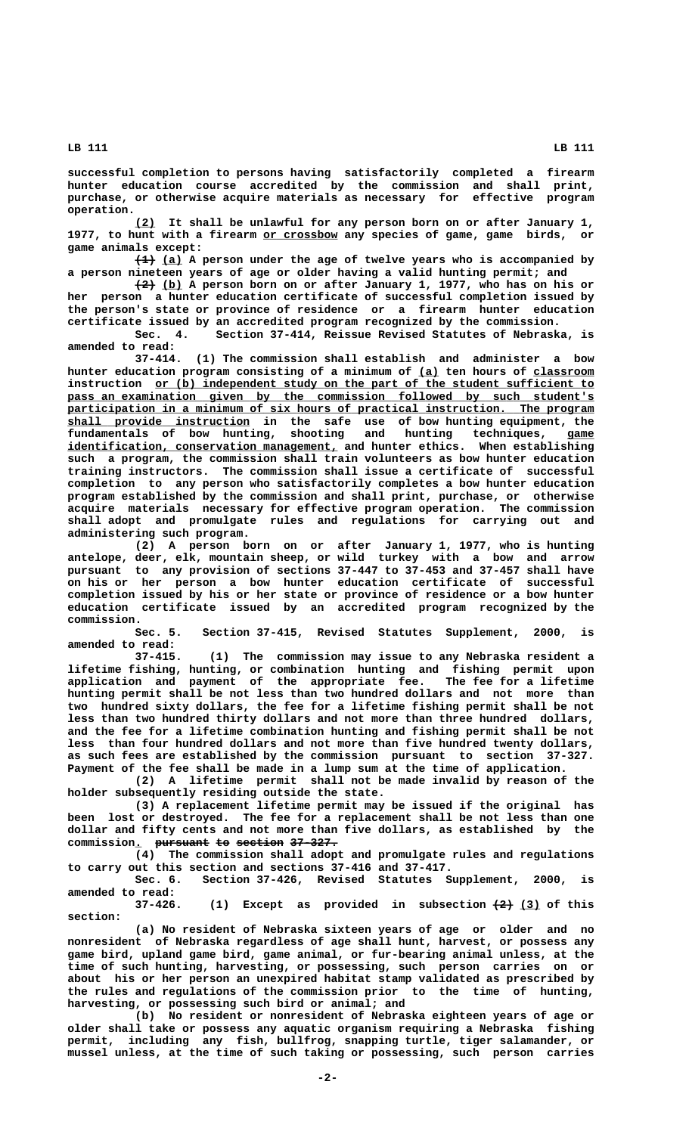**LB 111 LB 111**

**successful completion to persons having satisfactorily completed a firearm hunter education course accredited by the commission and shall print, purchase, or otherwise acquire materials as necessary for effective program operation.**

 **\_\_\_ (2) It shall be unlawful for any person born on or after January 1, \_\_\_\_\_\_\_\_\_\_\_ 1977, to hunt with a firearm or crossbow any species of game, game birds, or game animals except:**

 $\overline{+1}$  (a) A person under the age of twelve years who is accompanied by **a person nineteen years of age or older having a valid hunting permit; and**

 **——— \_\_\_ (2) (b) A person born on or after January 1, 1977, who has on his or her person a hunter education certificate of successful completion issued by the person's state or province of residence or a firearm hunter education certificate issued by an accredited program recognized by the commission.**

**Sec. 4. Section 37-414, Reissue Revised Statutes of Nebraska, is amended to read:**

**37-414. (1) The commission shall establish and administer a bow** hunter education program consisting of a minimum of  $(a)$  ten hours of classroom  **\_\_\_\_\_\_\_\_\_\_\_\_\_\_\_\_\_\_\_\_\_\_\_\_\_\_\_\_\_\_\_\_\_\_\_\_\_\_\_\_\_\_\_\_\_\_\_\_\_\_\_\_\_\_\_\_\_\_\_\_\_\_\_\_\_ instruction or (b) independent study on the part of the student sufficient to** pass an examination given by the commission followed by such student's  $participation in a minimum of six hours of practical instruction. The program$  **\_\_\_\_\_\_\_\_\_\_\_\_\_\_\_\_\_\_\_\_\_\_\_\_\_\_\_ shall provide instruction in the safe use of bow hunting equipment, the fundamentals of bow hunting, shooting and hunting techniques, game \_\_\_\_**  ${\tt identification}$  , conservation management, and hunter ethics. When establishing **such a program, the commission shall train volunteers as bow hunter education training instructors. The commission shall issue a certificate of successful completion to any person who satisfactorily completes a bow hunter education program established by the commission and shall print, purchase, or otherwise acquire materials necessary for effective program operation. The commission shall adopt and promulgate rules and regulations for carrying out and administering such program.**

> **(2) A person born on or after January 1, 1977, who is hunting antelope, deer, elk, mountain sheep, or wild turkey with a bow and arrow pursuant to any provision of sections 37-447 to 37-453 and 37-457 shall have on his or her person a bow hunter education certificate of successful completion issued by his or her state or province of residence or a bow hunter education certificate issued by an accredited program recognized by the commission.**

> **Sec. 5. Section 37-415, Revised Statutes Supplement, 2000, is amended to read:**

> **37-415. (1) The commission may issue to any Nebraska resident a lifetime fishing, hunting, or combination hunting and fishing permit upon application and payment of the appropriate fee. The fee for a lifetime hunting permit shall be not less than two hundred dollars and not more than two hundred sixty dollars, the fee for a lifetime fishing permit shall be not less than two hundred thirty dollars and not more than three hundred dollars, and the fee for a lifetime combination hunting and fishing permit shall be not less than four hundred dollars and not more than five hundred twenty dollars, as such fees are established by the commission pursuant to section 37-327. Payment of the fee shall be made in a lump sum at the time of application.**

> **(2) A lifetime permit shall not be made invalid by reason of the holder subsequently residing outside the state.**

> **(3) A replacement lifetime permit may be issued if the original has been lost or destroyed. The fee for a replacement shall be not less than one dollar and fifty cents and not more than five dollars, as established by the** commission. pursuant to section 37-327.

> **(4) The commission shall adopt and promulgate rules and regulations to carry out this section and sections 37-416 and 37-417.**

> **Sec. 6. Section 37-426, Revised Statutes Supplement, 2000, is amended to read:**

> $(1)$  Except as provided in subsection  $\left(2\right)$  (3) of this  **section:**

> **(a) No resident of Nebraska sixteen years of age or older and no nonresident of Nebraska regardless of age shall hunt, harvest, or possess any game bird, upland game bird, game animal, or fur-bearing animal unless, at the time of such hunting, harvesting, or possessing, such person carries on or about his or her person an unexpired habitat stamp validated as prescribed by the rules and regulations of the commission prior to the time of hunting, harvesting, or possessing such bird or animal; and**

> **(b) No resident or nonresident of Nebraska eighteen years of age or older shall take or possess any aquatic organism requiring a Nebraska fishing permit, including any fish, bullfrog, snapping turtle, tiger salamander, or mussel unless, at the time of such taking or possessing, such person carries**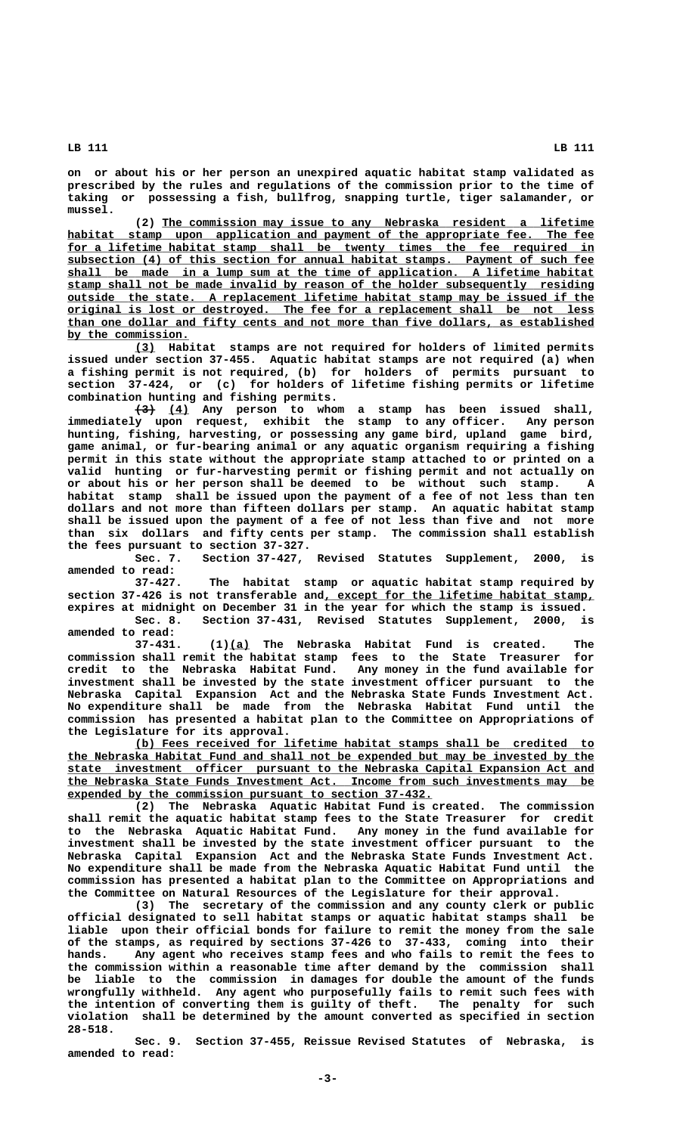**on or about his or her person an unexpired aquatic habitat stamp validated as prescribed by the rules and regulations of the commission prior to the time of taking or possessing a fish, bullfrog, snapping turtle, tiger salamander, or mussel.**

 **\_\_\_\_\_\_\_\_\_\_\_\_\_\_\_\_\_\_\_\_\_\_\_\_\_\_\_\_\_\_\_\_\_\_\_\_\_\_\_\_\_\_\_\_\_\_\_\_\_\_\_\_\_\_\_\_\_\_\_\_\_\_\_\_ (2) The commission may issue to any Nebraska resident a lifetime** habitat stamp upon application and payment of the appropriate fee. The fee for a lifetime habitat stamp shall be twenty times the fee required in  **\_\_\_\_\_\_\_\_\_\_\_\_\_\_\_\_\_\_\_\_\_\_\_\_\_\_\_\_\_\_\_\_\_\_\_\_\_\_\_\_\_\_\_\_\_\_\_\_\_\_\_\_\_\_\_\_\_\_\_\_\_\_\_\_\_\_\_\_\_\_\_\_\_\_\_\_\_\_ subsection (4) of this section for annual habitat stamps. Payment of such fee \_\_\_\_\_\_\_\_\_\_\_\_\_\_\_\_\_\_\_\_\_\_\_\_\_\_\_\_\_\_\_\_\_\_\_\_\_\_\_\_\_\_\_\_\_\_\_\_\_\_\_\_\_\_\_\_\_\_\_\_\_\_\_\_\_\_\_\_\_\_\_\_\_\_\_\_\_\_ shall be made in a lump sum at the time of application. A lifetime habitat \_\_\_\_\_\_\_\_\_\_\_\_\_\_\_\_\_\_\_\_\_\_\_\_\_\_\_\_\_\_\_\_\_\_\_\_\_\_\_\_\_\_\_\_\_\_\_\_\_\_\_\_\_\_\_\_\_\_\_\_\_\_\_\_\_\_\_\_\_\_\_\_\_\_\_\_\_\_ stamp shall not be made invalid by reason of the holder subsequently residing \_\_\_\_\_\_\_\_\_\_\_\_\_\_\_\_\_\_\_\_\_\_\_\_\_\_\_\_\_\_\_\_\_\_\_\_\_\_\_\_\_\_\_\_\_\_\_\_\_\_\_\_\_\_\_\_\_\_\_\_\_\_\_\_\_\_\_\_\_\_\_\_\_\_\_\_\_\_ outside the state. A replacement lifetime habitat stamp may be issued if the \_\_\_\_\_\_\_\_\_\_\_\_\_\_\_\_\_\_\_\_\_\_\_\_\_\_\_\_\_\_\_\_\_\_\_\_\_\_\_\_\_\_\_\_\_\_\_\_\_\_\_\_\_\_\_\_\_\_\_\_\_\_\_\_\_\_\_\_\_\_\_\_\_\_\_\_\_\_ original is lost or destroyed. The fee for a replacement shall be not less \_\_\_\_\_\_\_\_\_\_\_\_\_\_\_\_\_\_\_\_\_\_\_\_\_\_\_\_\_\_\_\_\_\_\_\_\_\_\_\_\_\_\_\_\_\_\_\_\_\_\_\_\_\_\_\_\_\_\_\_\_\_\_\_\_\_\_\_\_\_\_\_\_\_\_\_\_\_ than one dollar and fifty cents and not more than five dollars, as established \_\_\_\_\_\_\_\_\_\_\_\_\_\_\_\_\_\_ by the commission.**

 **\_\_\_ (3) Habitat stamps are not required for holders of limited permits issued under section 37-455. Aquatic habitat stamps are not required (a) when a fishing permit is not required, (b) for holders of permits pursuant to section 37-424, or (c) for holders of lifetime fishing permits or lifetime combination hunting and fishing permits.**

 **——— \_\_\_ (3) (4) Any person to whom a stamp has been issued shall, immediately upon request, exhibit the stamp to any officer. Any person hunting, fishing, harvesting, or possessing any game bird, upland game bird, game animal, or fur-bearing animal or any aquatic organism requiring a fishing permit in this state without the appropriate stamp attached to or printed on a valid hunting or fur-harvesting permit or fishing permit and not actually on or about his or her person shall be deemed to be without such stamp. A habitat stamp shall be issued upon the payment of a fee of not less than ten dollars and not more than fifteen dollars per stamp. An aquatic habitat stamp shall be issued upon the payment of a fee of not less than five and not more than six dollars and fifty cents per stamp. The commission shall establish the fees pursuant to section 37-327.**

**Sec. 7. Section 37-427, Revised Statutes Supplement, 2000, is amended to read:**

**37-427. The habitat stamp or aquatic habitat stamp required by \_\_\_\_\_\_\_\_\_\_\_\_\_\_\_\_\_\_\_\_\_\_\_\_\_\_\_\_\_\_\_\_\_\_\_\_\_\_\_\_ section 37-426 is not transferable and, except for the lifetime habitat stamp, expires at midnight on December 31 in the year for which the stamp is issued.**

**Sec. 8. Section 37-431, Revised Statutes Supplement, 2000, is amended to read:**

 **\_\_\_ 37-431. (1)(a) The Nebraska Habitat Fund is created. The commission shall remit the habitat stamp fees to the State Treasurer for credit to the Nebraska Habitat Fund. Any money in the fund available for investment shall be invested by the state investment officer pursuant to the Nebraska Capital Expansion Act and the Nebraska State Funds Investment Act. No expenditure shall be made from the Nebraska Habitat Fund until the commission has presented a habitat plan to the Committee on Appropriations of the Legislature for its approval.**

 **\_\_\_\_\_\_\_\_\_\_\_\_\_\_\_\_\_\_\_\_\_\_\_\_\_\_\_\_\_\_\_\_\_\_\_\_\_\_\_\_\_\_\_\_\_\_\_\_\_\_\_\_\_\_\_\_\_\_\_\_\_\_\_\_\_\_\_\_ (b) Fees received for lifetime habitat stamps shall be credited to \_\_\_\_\_\_\_\_\_\_\_\_\_\_\_\_\_\_\_\_\_\_\_\_\_\_\_\_\_\_\_\_\_\_\_\_\_\_\_\_\_\_\_\_\_\_\_\_\_\_\_\_\_\_\_\_\_\_\_\_\_\_\_\_\_\_\_\_\_\_\_\_\_\_\_\_\_\_ the Nebraska Habitat Fund and shall not be expended but may be invested by the \_\_\_\_\_\_\_\_\_\_\_\_\_\_\_\_\_\_\_\_\_\_\_\_\_\_\_\_\_\_\_\_\_\_\_\_\_\_\_\_\_\_\_\_\_\_\_\_\_\_\_\_\_\_\_\_\_\_\_\_\_\_\_\_\_\_\_\_\_\_\_\_\_\_\_\_\_\_ state investment officer pursuant to the Nebraska Capital Expansion Act and \_\_\_\_\_\_\_\_\_\_\_\_\_\_\_\_\_\_\_\_\_\_\_\_\_\_\_\_\_\_\_\_\_\_\_\_\_\_\_\_\_\_\_\_\_\_\_\_\_\_\_\_\_\_\_\_\_\_\_\_\_\_\_\_\_\_\_\_\_\_\_\_\_\_\_\_\_\_ the Nebraska State Funds Investment Act. Income from such investments may be \_\_\_\_\_\_\_\_\_\_\_\_\_\_\_\_\_\_\_\_\_\_\_\_\_\_\_\_\_\_\_\_\_\_\_\_\_\_\_\_\_\_\_\_\_\_\_\_\_\_\_\_\_\_ expended by the commission pursuant to section 37-432.**

**(2) The Nebraska Aquatic Habitat Fund is created. The commission shall remit the aquatic habitat stamp fees to the State Treasurer for credit to the Nebraska Aquatic Habitat Fund. Any money in the fund available for investment shall be invested by the state investment officer pursuant to the Nebraska Capital Expansion Act and the Nebraska State Funds Investment Act. No expenditure shall be made from the Nebraska Aquatic Habitat Fund until the commission has presented a habitat plan to the Committee on Appropriations and the Committee on Natural Resources of the Legislature for their approval.**

**(3) The secretary of the commission and any county clerk or public official designated to sell habitat stamps or aquatic habitat stamps shall be liable upon their official bonds for failure to remit the money from the sale of the stamps, as required by sections 37-426 to 37-433, coming into their hands. Any agent who receives stamp fees and who fails to remit the fees to the commission within a reasonable time after demand by the commission shall be liable to the commission in damages for double the amount of the funds wrongfully withheld. Any agent who purposefully fails to remit such fees with the intention of converting them is guilty of theft. The penalty for such violation shall be determined by the amount converted as specified in section 28-518.**

**Sec. 9. Section 37-455, Reissue Revised Statutes of Nebraska, is amended to read:**